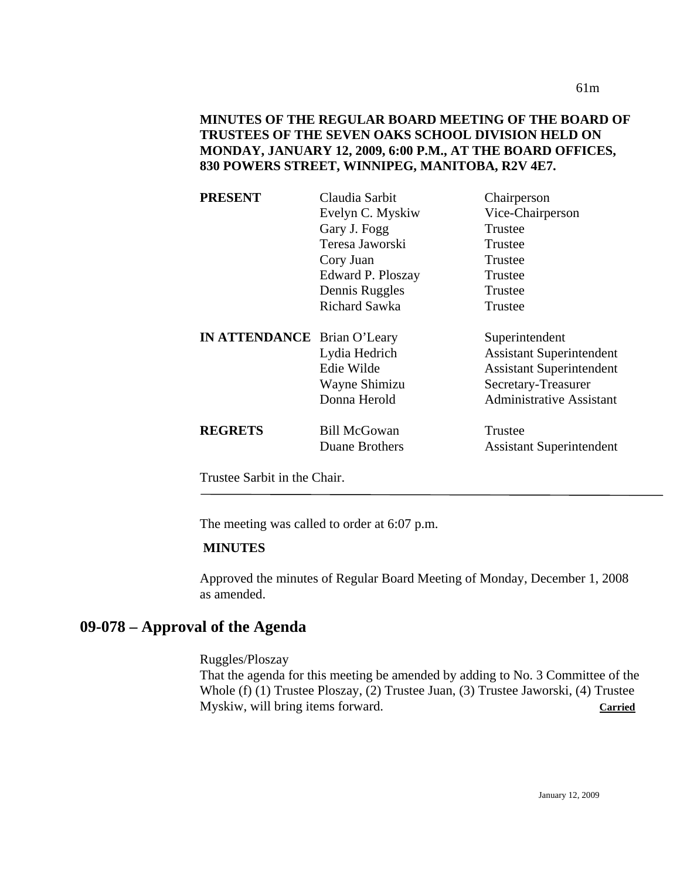| <b>PRESENT</b>                     | Claudia Sarbit       | Chairperson                     |
|------------------------------------|----------------------|---------------------------------|
|                                    | Evelyn C. Myskiw     | Vice-Chairperson                |
|                                    | Gary J. Fogg         | Trustee                         |
|                                    | Teresa Jaworski      | Trustee                         |
|                                    | Cory Juan            | Trustee                         |
|                                    | Edward P. Ploszay    | Trustee                         |
|                                    | Dennis Ruggles       | Trustee                         |
|                                    | <b>Richard Sawka</b> | Trustee                         |
| <b>IN ATTENDANCE</b> Brian O'Leary |                      | Superintendent                  |
|                                    | Lydia Hedrich        | <b>Assistant Superintendent</b> |
|                                    | Edie Wilde           | <b>Assistant Superintendent</b> |
|                                    | Wayne Shimizu        | Secretary-Treasurer             |
|                                    | Donna Herold         | <b>Administrative Assistant</b> |
| <b>REGRETS</b>                     | <b>Bill McGowan</b>  | Trustee                         |
|                                    | Duane Brothers       | <b>Assistant Superintendent</b> |
|                                    |                      |                                 |

Trustee Sarbit in the Chair.

The meeting was called to order at 6:07 p.m.

#### **MINUTES**

Approved the minutes of Regular Board Meeting of Monday, December 1, 2008 as amended.

# **09-078 – Approval of the Agenda**

Ruggles/Ploszay

That the agenda for this meeting be amended by adding to No. 3 Committee of the Whole (f) (1) Trustee Ploszay, (2) Trustee Juan, (3) Trustee Jaworski, (4) Trustee Myskiw, will bring items forward. **Carried**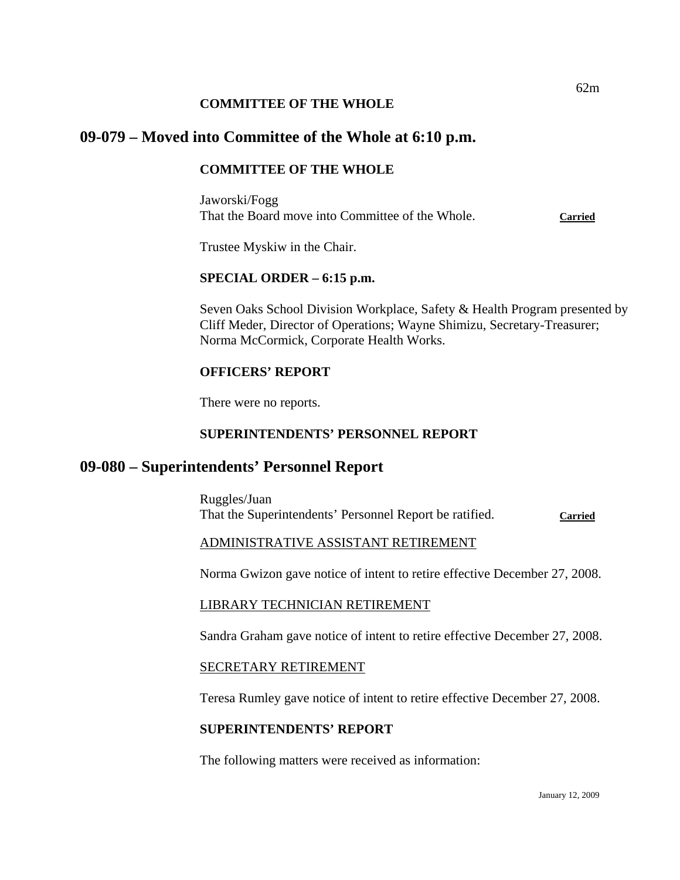### **COMMITTEE OF THE WHOLE**

# **09-079 – Moved into Committee of the Whole at 6:10 p.m.**

# **COMMITTEE OF THE WHOLE**

Jaworski/Fogg That the Board move into Committee of the Whole. **Carried**

Trustee Myskiw in the Chair.

# **SPECIAL ORDER – 6:15 p.m.**

Seven Oaks School Division Workplace, Safety & Health Program presented by Cliff Meder, Director of Operations; Wayne Shimizu, Secretary-Treasurer; Norma McCormick, Corporate Health Works.

#### **OFFICERS' REPORT**

There were no reports.

## **SUPERINTENDENTS' PERSONNEL REPORT**

# **09-080 – Superintendents' Personnel Report**

Ruggles/Juan That the Superintendents' Personnel Report be ratified. **Carried**

# ADMINISTRATIVE ASSISTANT RETIREMENT

Norma Gwizon gave notice of intent to retire effective December 27, 2008.

#### LIBRARY TECHNICIAN RETIREMENT

Sandra Graham gave notice of intent to retire effective December 27, 2008.

#### SECRETARY RETIREMENT

Teresa Rumley gave notice of intent to retire effective December 27, 2008.

#### **SUPERINTENDENTS' REPORT**

The following matters were received as information: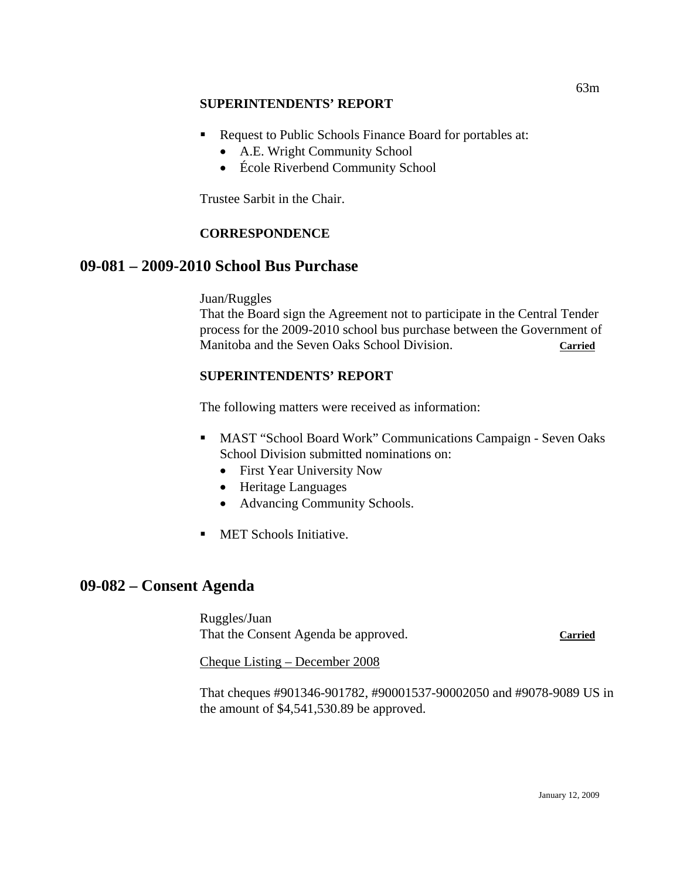## **SUPERINTENDENTS' REPORT**

- Request to Public Schools Finance Board for portables at:
	- A.E. Wright Community School
	- École Riverbend Community School

Trustee Sarbit in the Chair.

# **CORRESPONDENCE**

# **09-081 – 2009-2010 School Bus Purchase**

Juan/Ruggles

That the Board sign the Agreement not to participate in the Central Tender process for the 2009-2010 school bus purchase between the Government of Manitoba and the Seven Oaks School Division. **Carried**

# **SUPERINTENDENTS' REPORT**

The following matters were received as information:

- MAST "School Board Work" Communications Campaign Seven Oaks School Division submitted nominations on:
	- First Year University Now
	- Heritage Languages
	- Advancing Community Schools.
- **MET Schools Initiative.**

# **09-082 – Consent Agenda**

Ruggles/Juan That the Consent Agenda be approved. **Carried**

Cheque Listing – December 2008

That cheques #901346-901782, #90001537-90002050 and #9078-9089 US in the amount of \$4,541,530.89 be approved.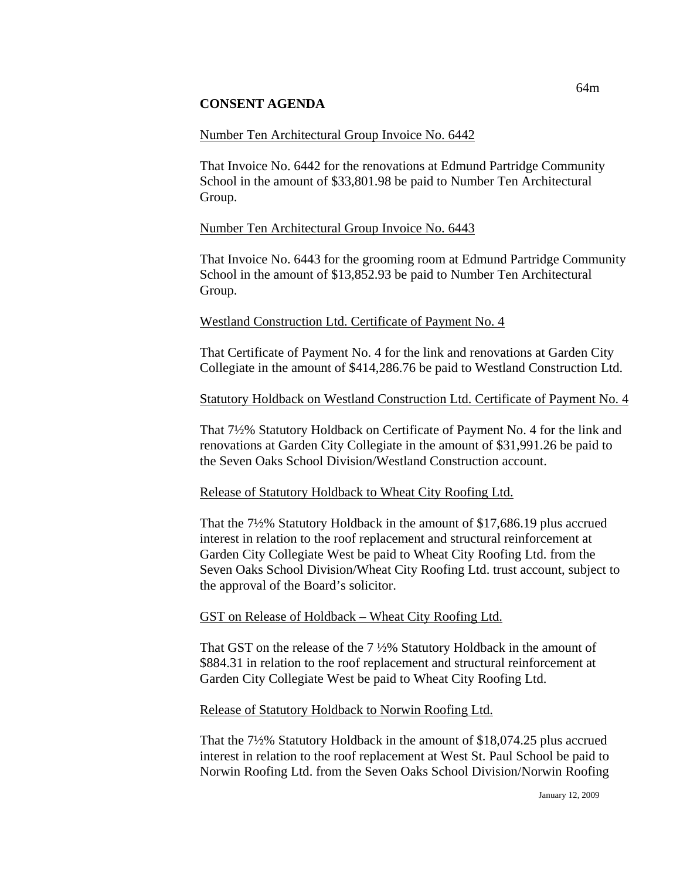## **CONSENT AGENDA**

## Number Ten Architectural Group Invoice No. 6442

That Invoice No. 6442 for the renovations at Edmund Partridge Community School in the amount of \$33,801.98 be paid to Number Ten Architectural Group.

## Number Ten Architectural Group Invoice No. 6443

That Invoice No. 6443 for the grooming room at Edmund Partridge Community School in the amount of \$13,852.93 be paid to Number Ten Architectural Group.

#### Westland Construction Ltd. Certificate of Payment No. 4

That Certificate of Payment No. 4 for the link and renovations at Garden City Collegiate in the amount of \$414,286.76 be paid to Westland Construction Ltd.

## Statutory Holdback on Westland Construction Ltd. Certificate of Payment No. 4

That 7½% Statutory Holdback on Certificate of Payment No. 4 for the link and renovations at Garden City Collegiate in the amount of \$31,991.26 be paid to the Seven Oaks School Division/Westland Construction account.

#### Release of Statutory Holdback to Wheat City Roofing Ltd.

That the 7½% Statutory Holdback in the amount of \$17,686.19 plus accrued interest in relation to the roof replacement and structural reinforcement at Garden City Collegiate West be paid to Wheat City Roofing Ltd. from the Seven Oaks School Division/Wheat City Roofing Ltd. trust account, subject to the approval of the Board's solicitor.

#### GST on Release of Holdback – Wheat City Roofing Ltd.

That GST on the release of the 7 ½% Statutory Holdback in the amount of \$884.31 in relation to the roof replacement and structural reinforcement at Garden City Collegiate West be paid to Wheat City Roofing Ltd.

#### Release of Statutory Holdback to Norwin Roofing Ltd.

That the 7½% Statutory Holdback in the amount of \$18,074.25 plus accrued interest in relation to the roof replacement at West St. Paul School be paid to Norwin Roofing Ltd. from the Seven Oaks School Division/Norwin Roofing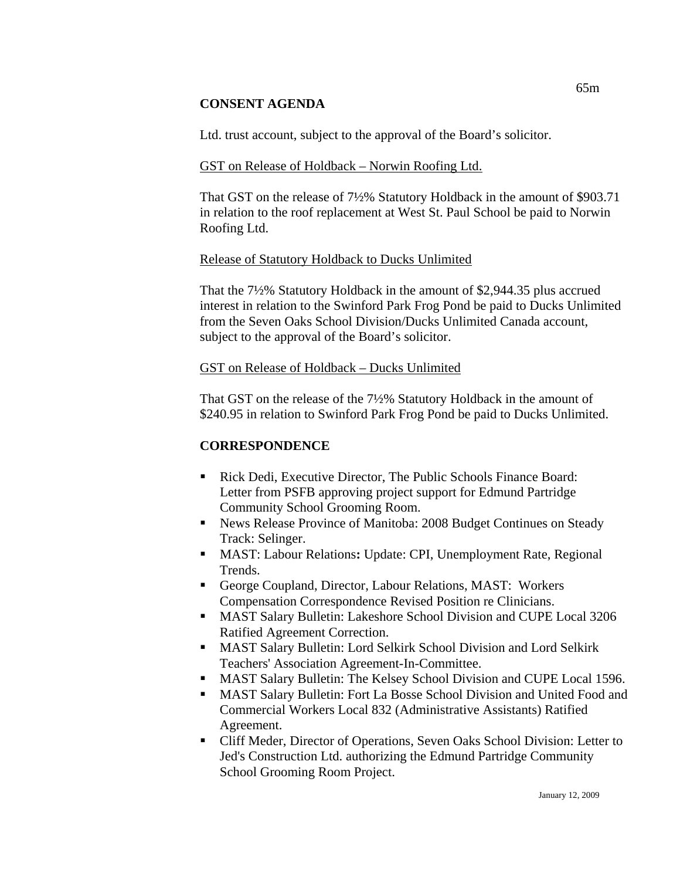## **CONSENT AGENDA**

Ltd. trust account, subject to the approval of the Board's solicitor.

## GST on Release of Holdback – Norwin Roofing Ltd.

That GST on the release of 7½% Statutory Holdback in the amount of \$903.71 in relation to the roof replacement at West St. Paul School be paid to Norwin Roofing Ltd.

## Release of Statutory Holdback to Ducks Unlimited

That the 7½% Statutory Holdback in the amount of \$2,944.35 plus accrued interest in relation to the Swinford Park Frog Pond be paid to Ducks Unlimited from the Seven Oaks School Division/Ducks Unlimited Canada account, subject to the approval of the Board's solicitor.

## GST on Release of Holdback – Ducks Unlimited

That GST on the release of the 7½% Statutory Holdback in the amount of \$240.95 in relation to Swinford Park Frog Pond be paid to Ducks Unlimited.

# **CORRESPONDENCE**

- Rick Dedi, Executive Director, The Public Schools Finance Board: Letter from PSFB approving project support for Edmund Partridge Community School Grooming Room.
- News Release Province of Manitoba: 2008 Budget Continues on Steady Track: Selinger.
- MAST: Labour Relations**:** Update: CPI, Unemployment Rate, Regional Trends.
- George Coupland, Director, Labour Relations, MAST: Workers Compensation Correspondence Revised Position re Clinicians.
- MAST Salary Bulletin: Lakeshore School Division and CUPE Local 3206 Ratified Agreement Correction.
- MAST Salary Bulletin: Lord Selkirk School Division and Lord Selkirk Teachers' Association Agreement-In-Committee.
- MAST Salary Bulletin: The Kelsey School Division and CUPE Local 1596.
- MAST Salary Bulletin: Fort La Bosse School Division and United Food and Commercial Workers Local 832 (Administrative Assistants) Ratified Agreement.
- Cliff Meder, Director of Operations, Seven Oaks School Division: Letter to Jed's Construction Ltd. authorizing the Edmund Partridge Community School Grooming Room Project.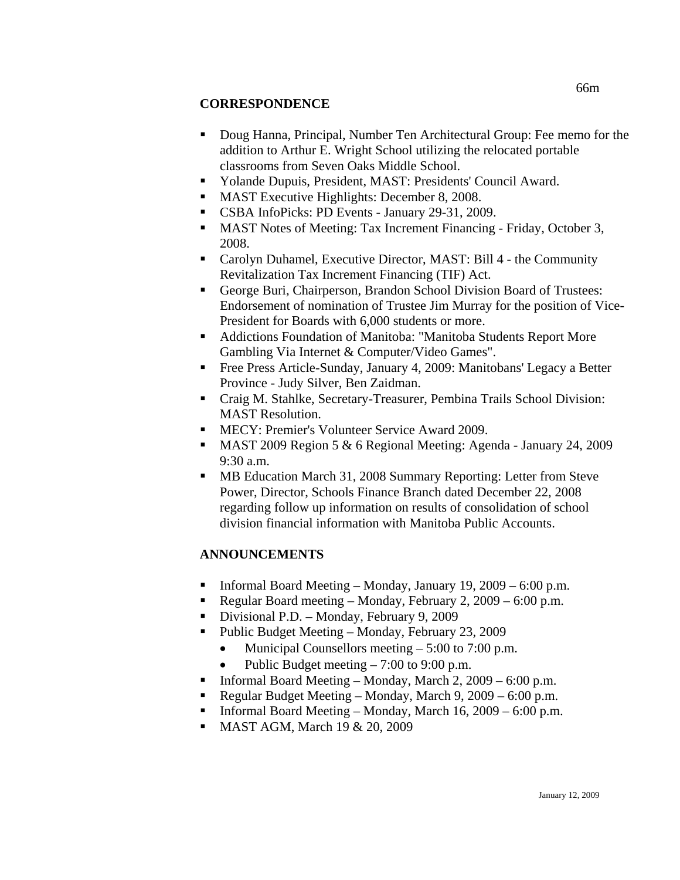# **CORRESPONDENCE**

- Doug Hanna, Principal, Number Ten Architectural Group: Fee memo for the addition to Arthur E. Wright School utilizing the relocated portable classrooms from Seven Oaks Middle School.
- Yolande Dupuis, President, MAST: Presidents' Council Award.
- **MAST Executive Highlights: December 8, 2008.**
- CSBA InfoPicks: PD Events January 29-31, 2009.
- MAST Notes of Meeting: Tax Increment Financing Friday, October 3, 2008.
- Carolyn Duhamel, Executive Director, MAST: Bill 4 the Community Revitalization Tax Increment Financing (TIF) Act.
- George Buri, Chairperson, Brandon School Division Board of Trustees: Endorsement of nomination of Trustee Jim Murray for the position of Vice-President for Boards with 6,000 students or more.
- Addictions Foundation of Manitoba: "Manitoba Students Report More Gambling Via Internet & Computer/Video Games".
- Free Press Article-Sunday, January 4, 2009: Manitobans' Legacy a Better Province - Judy Silver, Ben Zaidman.
- Craig M. Stahlke, Secretary-Treasurer, Pembina Trails School Division: MAST Resolution.
- MECY: Premier's Volunteer Service Award 2009.
- MAST 2009 Region 5 & 6 Regional Meeting: Agenda January 24, 2009 9:30 a.m.
- **MB** Education March 31, 2008 Summary Reporting: Letter from Steve Power, Director, Schools Finance Branch dated December 22, 2008 regarding follow up information on results of consolidation of school division financial information with Manitoba Public Accounts.

# **ANNOUNCEMENTS**

- **Informal Board Meeting Monday, January 19, 2009 6:00 p.m.**
- Regular Board meeting Monday, February 2, 2009 6:00 p.m.
- Divisional P.D. Monday, February 9, 2009
- Public Budget Meeting Monday, February 23, 2009
	- Municipal Counsellors meeting 5:00 to 7:00 p.m.
	- Public Budget meeting  $-7:00$  to 9:00 p.m.
- Informal Board Meeting Monday, March 2,  $2009 6:00$  p.m.
- Regular Budget Meeting Monday, March 9, 2009 6:00 p.m.
- Informal Board Meeting Monday, March 16, 2009 6:00 p.m.
- **MAST AGM, March 19 & 20, 2009**